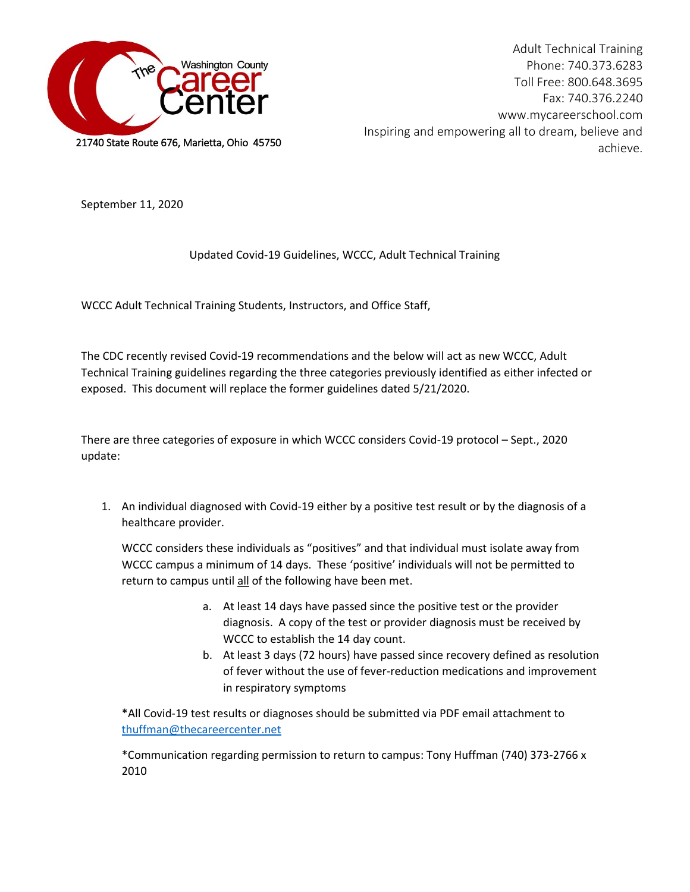

Adult Technical Training Phone: 740.373.6283 Toll Free: 800.648.3695 Fax: 740.376.2240 www.mycareerschool.com Inspiring and empowering all to dream, believe and achieve.

September 11, 2020

## Updated Covid-19 Guidelines, WCCC, Adult Technical Training

WCCC Adult Technical Training Students, Instructors, and Office Staff,

The CDC recently revised Covid-19 recommendations and the below will act as new WCCC, Adult Technical Training guidelines regarding the three categories previously identified as either infected or exposed. This document will replace the former guidelines dated 5/21/2020.

There are three categories of exposure in which WCCC considers Covid-19 protocol – Sept., 2020 update:

1. An individual diagnosed with Covid-19 either by a positive test result or by the diagnosis of a healthcare provider.

WCCC considers these individuals as "positives" and that individual must isolate away from WCCC campus a minimum of 14 days. These 'positive' individuals will not be permitted to return to campus until all of the following have been met.

- a. At least 14 days have passed since the positive test or the provider diagnosis. A copy of the test or provider diagnosis must be received by WCCC to establish the 14 day count.
- b. At least 3 days (72 hours) have passed since recovery defined as resolution of fever without the use of fever-reduction medications and improvement in respiratory symptoms

\*All Covid-19 test results or diagnoses should be submitted via PDF email attachment to [thuffman@thecareercenter.net](mailto:thuffman@thecareercenter.net)

\*Communication regarding permission to return to campus: Tony Huffman (740) 373-2766 x 2010